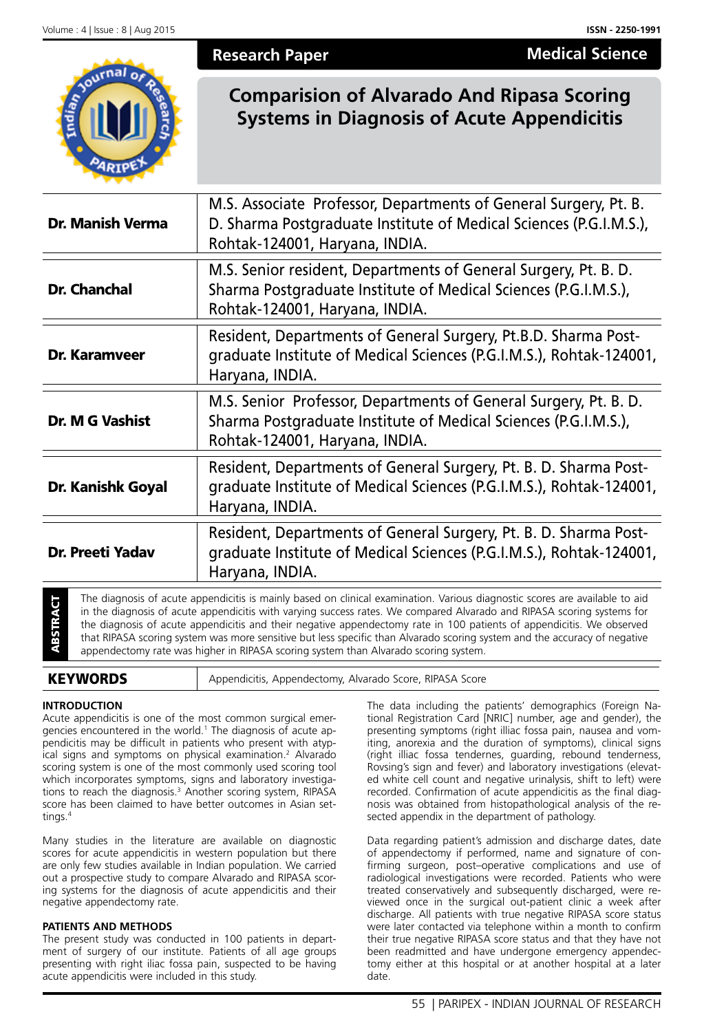**Medical Science**

| <b>Research Paper</b>                                                                                  | <b>Medical Scien</b> |
|--------------------------------------------------------------------------------------------------------|----------------------|
| <b>Comparision of Alvarado And Ripasa Scoring</b><br><b>Systems in Diagnosis of Acute Appendicitis</b> |                      |

| Dr. Manish Verma                                                                                                                                                               | M.S. Associate Professor, Departments of General Surgery, Pt. B.<br>D. Sharma Postgraduate Institute of Medical Sciences (P.G.I.M.S.),<br>Rohtak-124001, Haryana, INDIA.                                                                                                                                                                                                       |
|--------------------------------------------------------------------------------------------------------------------------------------------------------------------------------|--------------------------------------------------------------------------------------------------------------------------------------------------------------------------------------------------------------------------------------------------------------------------------------------------------------------------------------------------------------------------------|
| <b>Dr. Chanchal</b>                                                                                                                                                            | M.S. Senior resident, Departments of General Surgery, Pt. B. D.<br>Sharma Postgraduate Institute of Medical Sciences (P.G.I.M.S.),<br>Rohtak-124001, Haryana, INDIA.                                                                                                                                                                                                           |
| Dr. Karamveer                                                                                                                                                                  | Resident, Departments of General Surgery, Pt.B.D. Sharma Post-<br>graduate Institute of Medical Sciences (P.G.I.M.S.), Rohtak-124001,<br>Haryana, INDIA.                                                                                                                                                                                                                       |
| <b>Dr. M G Vashist</b>                                                                                                                                                         | M.S. Senior Professor, Departments of General Surgery, Pt. B. D.<br>Sharma Postgraduate Institute of Medical Sciences (P.G.I.M.S.),<br>Rohtak-124001, Haryana, INDIA.                                                                                                                                                                                                          |
| Dr. Kanishk Goyal                                                                                                                                                              | Resident, Departments of General Surgery, Pt. B. D. Sharma Post-<br>graduate Institute of Medical Sciences (P.G.I.M.S.), Rohtak-124001,<br>Haryana, INDIA.                                                                                                                                                                                                                     |
| Resident, Departments of General Surgery, Pt. B. D. Sharma Post-<br>graduate Institute of Medical Sciences (P.G.I.M.S.), Rohtak-124001,<br>Dr. Preeti Yadav<br>Haryana, INDIA. |                                                                                                                                                                                                                                                                                                                                                                                |
| <b>TRACT</b>                                                                                                                                                                   | The diagnosis of acute appendicitis is mainly based on clinical examination. Various diagnostic scores are available to aid<br>in the diagnosis of acute appendicitis with varying success rates. We compared Alvarado and RIPASA scoring systems for<br>the diagnosis of acute appendicitis and their negative appendectomy rate in 100 patients of appendicitis. We observed |

The diagnosis of acute appendicitis is mainly based on clinical examination. Various dis<br>
in the diagnosis of acute appendicitis and their negative appendectomy rate in 100 pati<br>
that RIPASA scoring system was more sensiti appendectomy rate was higher in RIPASA scoring system than Alvarado scoring system.

that RIPASA scoring system was more sensitive but less specific than Alvarado scoring system and the accuracy of negative

# **INTRODUCTION**

Acute appendicitis is one of the most common surgical emergencies encountered in the world.<sup>1</sup> The diagnosis of acute appendicitis may be difficult in patients who present with atypical signs and symptoms on physical examination.<sup>2</sup> Alvarado scoring system is one of the most commonly used scoring tool which incorporates symptoms, signs and laboratory investigations to reach the diagnosis.<sup>3</sup> Another scoring system, RIPASA score has been claimed to have better outcomes in Asian settings.4

Many studies in the literature are available on diagnostic scores for acute appendicitis in western population but there are only few studies available in Indian population. We carried out a prospective study to compare Alvarado and RIPASA scoring systems for the diagnosis of acute appendicitis and their negative appendectomy rate.

# **PATIENTS AND METHODS**

The present study was conducted in 100 patients in department of surgery of our institute. Patients of all age groups presenting with right iliac fossa pain, suspected to be having acute appendicitis were included in this study.

The data including the patients' demographics (Foreign National Registration Card [NRIC] number, age and gender), the presenting symptoms (right illiac fossa pain, nausea and vomiting, anorexia and the duration of symptoms), clinical signs (right illiac fossa tendernes, guarding, rebound tenderness, Rovsing's sign and fever) and laboratory investigations (elevated white cell count and negative urinalysis, shift to left) were recorded. Confirmation of acute appendicitis as the final diagnosis was obtained from histopathological analysis of the resected appendix in the department of pathology.

Data regarding patient's admission and discharge dates, date of appendectomy if performed, name and signature of confirming surgeon, post–operative complications and use of radiological investigations were recorded. Patients who were treated conservatively and subsequently discharged, were reviewed once in the surgical out-patient clinic a week after discharge. All patients with true negative RIPASA score status were later contacted via telephone within a month to confirm their true negative RIPASA score status and that they have not been readmitted and have undergone emergency appendectomy either at this hospital or at another hospital at a later date.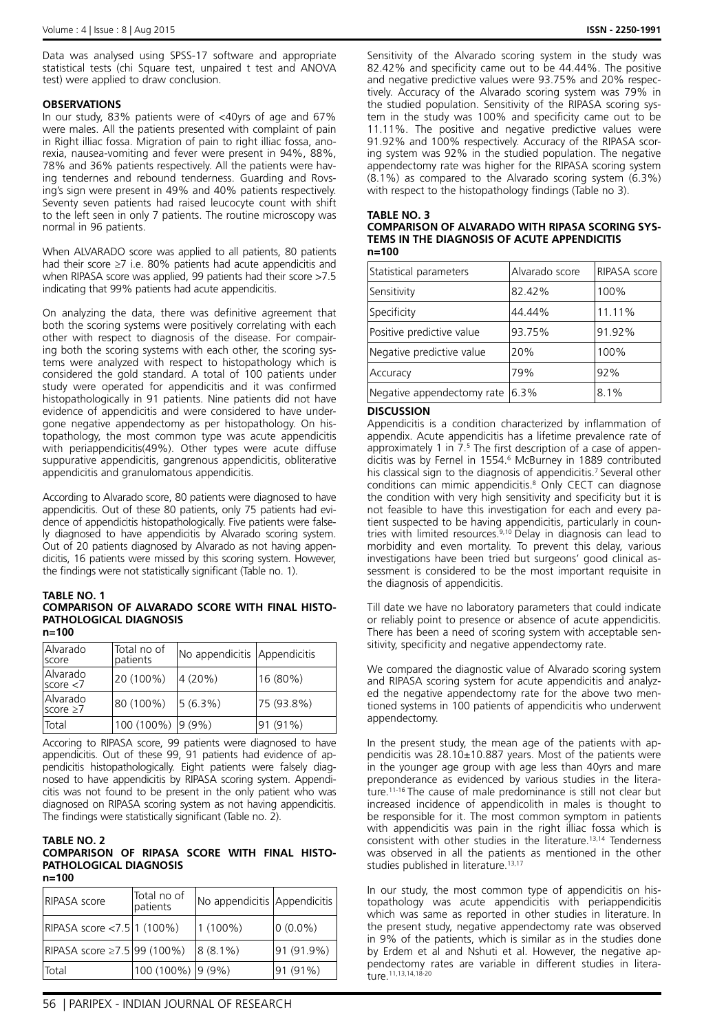Data was analysed using SPSS-17 software and appropriate statistical tests (chi Square test, unpaired t test and ANOVA test) were applied to draw conclusion.

# **OBSERVATIONS**

In our study, 83% patients were of <40yrs of age and 67% were males. All the patients presented with complaint of pain in Right illiac fossa. Migration of pain to right illiac fossa, anorexia, nausea-vomiting and fever were present in 94%, 88%, 78% and 36% patients respectively. All the patients were having tendernes and rebound tenderness. Guarding and Rovsing's sign were present in 49% and 40% patients respectively. Seventy seven patients had raised leucocyte count with shift to the left seen in only 7 patients. The routine microscopy was normal in 96 patients.

When ALVARADO score was applied to all patients, 80 patients had their score ≥7 i.e. 80% patients had acute appendicitis and when RIPASA score was applied, 99 patients had their score >7.5 indicating that 99% patients had acute appendicitis.

On analyzing the data, there was definitive agreement that both the scoring systems were positively correlating with each other with respect to diagnosis of the disease. For compairing both the scoring systems with each other, the scoring systems were analyzed with respect to histopathology which is considered the gold standard. A total of 100 patients under study were operated for appendicitis and it was confirmed histopathologically in 91 patients. Nine patients did not have evidence of appendicitis and were considered to have undergone negative appendectomy as per histopathology. On histopathology, the most common type was acute appendicitis with periappendicitis(49%). Other types were acute diffuse suppurative appendicitis, gangrenous appendicitis, obliterative appendicitis and granulomatous appendicitis.

According to Alvarado score, 80 patients were diagnosed to have appendicitis. Out of these 80 patients, only 75 patients had evidence of appendicitis histopathologically. Five patients were falsely diagnosed to have appendicitis by Alvarado scoring system. Out of 20 patients diagnosed by Alvarado as not having appendicitis, 16 patients were missed by this scoring system. However, the findings were not statistically significant (Table no. 1).

## **TABLE NO. 1**

#### **COMPARISON OF ALVARADO SCORE WITH FINAL HISTO-PATHOLOGICAL DIAGNOSIS n=100**

| Alvarado<br><b>Score</b>         | Total no of<br>patients | No appendicitis Appendicitis |            |
|----------------------------------|-------------------------|------------------------------|------------|
| <b>Alvarado</b><br>score < 7     | 20 (100%)               | 4 (20%)                      | 16 (80%)   |
| <b>Alvarado</b><br>$score \ge 7$ | 80 (100%)               | 5(6.3%)                      | 75 (93.8%) |
| Total                            | 100 (100%)              | $ 9(9\%)$                    | 91 (91%)   |

Accoring to RIPASA score, 99 patients were diagnosed to have appendicitis. Out of these 99, 91 patients had evidence of appendicitis histopathologically. Eight patients were falsely diagnosed to have appendicitis by RIPASA scoring system. Appendicitis was not found to be present in the only patient who was diagnosed on RIPASA scoring system as not having appendicitis. The findings were statistically significant (Table no. 2).

### **TABLE NO. 2 COMPARISON OF RIPASA SCORE WITH FINAL HISTO-PATHOLOGICAL DIAGNOSIS n=100**

| RIPASA score                             | Total no of<br>patients | No appendicitis Appendicitis |            |
|------------------------------------------|-------------------------|------------------------------|------------|
| RIPASA score <7.5   1 (100%)             |                         | $1(100\%)$                   | $0(0.0\%)$ |
| $\text{RIPASA score } \ge 7.5$ 99 (100%) |                         | $8(8.1\%)$                   | 91 (91.9%) |
| <b>Total</b>                             | 100 (100%) 9 (9%)       |                              | 91 (91%)   |

Sensitivity of the Alvarado scoring system in the study was 82.42% and specificity came out to be 44.44%. The positive and negative predictive values were 93.75% and 20% respectively. Accuracy of the Alvarado scoring system was 79% in the studied population. Sensitivity of the RIPASA scoring system in the study was 100% and specificity came out to be 11.11%. The positive and negative predictive values were 91.92% and 100% respectively. Accuracy of the RIPASA scoring system was 92% in the studied population. The negative appendectomy rate was higher for the RIPASA scoring system (8.1%) as compared to the Alvarado scoring system (6.3%) with respect to the histopathology findings (Table no 3).

# **TABLE NO. 3**

| <b>COMPARISON OF ALVARADO WITH RIPASA SCORING SYS-</b> |
|--------------------------------------------------------|
| TEMS IN THE DIAGNOSIS OF ACUTE APPENDICITIS            |
| n=100                                                  |

| Statistical parameters     | Alvarado score | RIPASA score |
|----------------------------|----------------|--------------|
| Sensitivity                | 82.42%         | 100%         |
| Specificity                | 44.44%         | 11.11%       |
| Positive predictive value  | 93.75%         | 91.92%       |
| Negative predictive value  | 20%            | 100%         |
| Accuracy                   | 79%            | 92%          |
| Negative appendectomy rate | 6.3%           | 8.1%         |

## **DISCUSSION**

Appendicitis is a condition characterized by inflammation of appendix. Acute appendicitis has a lifetime prevalence rate of approximately 1 in 7.5 The first description of a case of appendicitis was by Fernel in 1554.6 McBurney in 1889 contributed his classical sign to the diagnosis of appendicitis.<sup>7</sup> Several other conditions can mimic appendicitis.8 Only CECT can diagnose the condition with very high sensitivity and specificity but it is not feasible to have this investigation for each and every patient suspected to be having appendicitis, particularly in countries with limited resources.<sup>9,10</sup> Delay in diagnosis can lead to morbidity and even mortality. To prevent this delay, various investigations have been tried but surgeons' good clinical assessment is considered to be the most important requisite in the diagnosis of appendicitis.

Till date we have no laboratory parameters that could indicate or reliably point to presence or absence of acute appendicitis. There has been a need of scoring system with acceptable sensitivity, specificity and negative appendectomy rate.

We compared the diagnostic value of Alvarado scoring system and RIPASA scoring system for acute appendicitis and analyzed the negative appendectomy rate for the above two mentioned systems in 100 patients of appendicitis who underwent appendectomy.

In the present study, the mean age of the patients with appendicitis was 28.10±10.887 years. Most of the patients were in the younger age group with age less than 40yrs and mare preponderance as evidenced by various studies in the literature.11-16 The cause of male predominance is still not clear but increased incidence of appendicolith in males is thought to be responsible for it. The most common symptom in patients with appendicitis was pain in the right illiac fossa which is consistent with other studies in the literature.13,14 Tenderness was observed in all the patients as mentioned in the other studies published in literature.<sup>13,17</sup>

In our study, the most common type of appendicitis on histopathology was acute appendicitis with periappendicitis which was same as reported in other studies in literature. In the present study, negative appendectomy rate was observed in 9% of the patients, which is similar as in the studies done by Erdem et al and Nshuti et al. However, the negative appendectomy rates are variable in different studies in literature.11,13,14,18-20